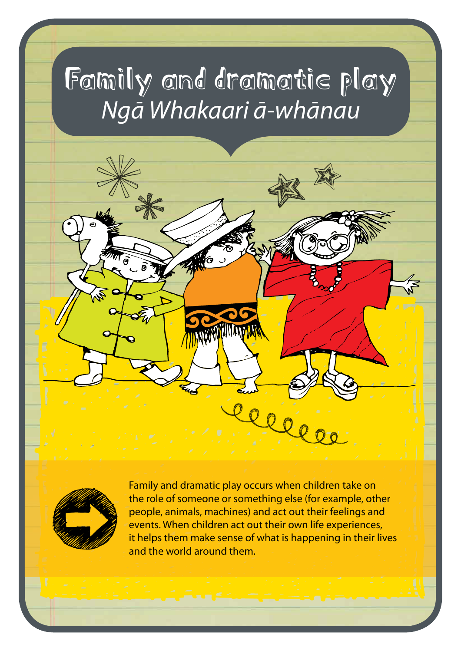# Family and dramatic play *Ngā Whakaari ā-whānau*



Family and dramatic play occurs when children take on the role of someone or something else (for example, other people, animals, machines) and act out their feelings and events. When children act out their own life experiences, it helps them make sense of what is happening in their lives and the world around them.